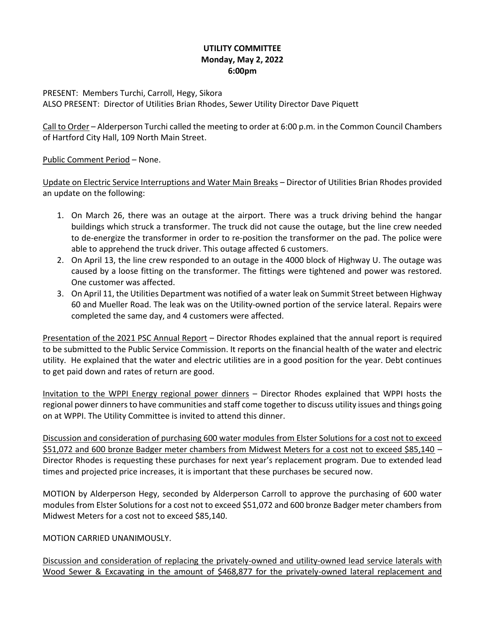### **UTILITY COMMITTEE Monday, May 2, 2022 6:00pm**

PRESENT: Members Turchi, Carroll, Hegy, Sikora ALSO PRESENT: Director of Utilities Brian Rhodes, Sewer Utility Director Dave Piquett

Call to Order – Alderperson Turchi called the meeting to order at 6:00 p.m. in the Common Council Chambers of Hartford City Hall, 109 North Main Street.

Public Comment Period – None.

Update on Electric Service Interruptions and Water Main Breaks – Director of Utilities Brian Rhodes provided an update on the following:

- 1. On March 26, there was an outage at the airport. There was a truck driving behind the hangar buildings which struck a transformer. The truck did not cause the outage, but the line crew needed to de-energize the transformer in order to re-position the transformer on the pad. The police were able to apprehend the truck driver. This outage affected 6 customers.
- 2. On April 13, the line crew responded to an outage in the 4000 block of Highway U. The outage was caused by a loose fitting on the transformer. The fittings were tightened and power was restored. One customer was affected.
- 3. On April 11, the Utilities Department was notified of a water leak on Summit Street between Highway 60 and Mueller Road. The leak was on the Utility-owned portion of the service lateral. Repairs were completed the same day, and 4 customers were affected.

Presentation of the 2021 PSC Annual Report – Director Rhodes explained that the annual report is required to be submitted to the Public Service Commission. It reports on the financial health of the water and electric utility. He explained that the water and electric utilities are in a good position for the year. Debt continues to get paid down and rates of return are good.

Invitation to the WPPI Energy regional power dinners – Director Rhodes explained that WPPI hosts the regional power dinners to have communities and staff come together to discuss utility issues and things going on at WPPI. The Utility Committee is invited to attend this dinner.

Discussion and consideration of purchasing 600 water modules from Elster Solutions for a cost not to exceed \$51,072 and 600 bronze Badger meter chambers from Midwest Meters for a cost not to exceed \$85,140 – Director Rhodes is requesting these purchases for next year's replacement program. Due to extended lead times and projected price increases, it is important that these purchases be secured now.

MOTION by Alderperson Hegy, seconded by Alderperson Carroll to approve the purchasing of 600 water modules from Elster Solutions for a cost not to exceed \$51,072 and 600 bronze Badger meter chambers from Midwest Meters for a cost not to exceed \$85,140.

### MOTION CARRIED UNANIMOUSLY.

Discussion and consideration of replacing the privately-owned and utility-owned lead service laterals with Wood Sewer & Excavating in the amount of \$468,877 for the privately-owned lateral replacement and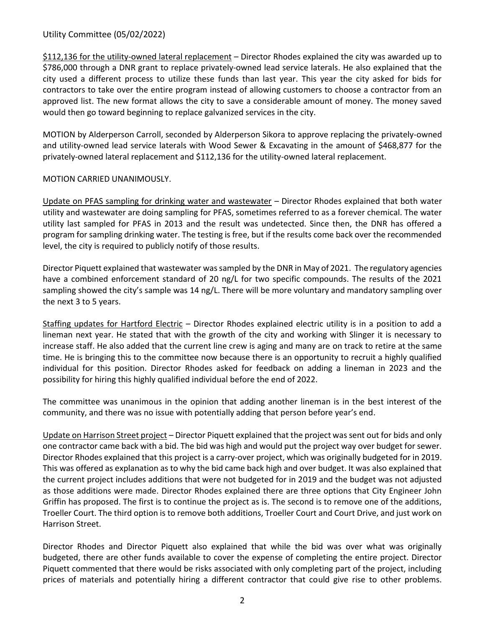# Utility Committee (05/02/2022)

\$112,136 for the utility-owned lateral replacement – Director Rhodes explained the city was awarded up to \$786,000 through a DNR grant to replace privately-owned lead service laterals. He also explained that the city used a different process to utilize these funds than last year. This year the city asked for bids for contractors to take over the entire program instead of allowing customers to choose a contractor from an approved list. The new format allows the city to save a considerable amount of money. The money saved would then go toward beginning to replace galvanized services in the city.

MOTION by Alderperson Carroll, seconded by Alderperson Sikora to approve replacing the privately-owned and utility-owned lead service laterals with Wood Sewer & Excavating in the amount of \$468,877 for the privately-owned lateral replacement and \$112,136 for the utility-owned lateral replacement.

### MOTION CARRIED UNANIMOUSLY.

Update on PFAS sampling for drinking water and wastewater – Director Rhodes explained that both water utility and wastewater are doing sampling for PFAS, sometimes referred to as a forever chemical. The water utility last sampled for PFAS in 2013 and the result was undetected. Since then, the DNR has offered a program for sampling drinking water. The testing is free, but if the results come back over the recommended level, the city is required to publicly notify of those results.

Director Piquett explained that wastewater was sampled by the DNR in May of 2021. The regulatory agencies have a combined enforcement standard of 20 ng/L for two specific compounds. The results of the 2021 sampling showed the city's sample was 14 ng/L. There will be more voluntary and mandatory sampling over the next 3 to 5 years.

Staffing updates for Hartford Electric – Director Rhodes explained electric utility is in a position to add a lineman next year. He stated that with the growth of the city and working with Slinger it is necessary to increase staff. He also added that the current line crew is aging and many are on track to retire at the same time. He is bringing this to the committee now because there is an opportunity to recruit a highly qualified individual for this position. Director Rhodes asked for feedback on adding a lineman in 2023 and the possibility for hiring this highly qualified individual before the end of 2022.

The committee was unanimous in the opinion that adding another lineman is in the best interest of the community, and there was no issue with potentially adding that person before year's end.

Update on Harrison Street project – Director Piquett explained that the project was sent out for bids and only one contractor came back with a bid. The bid was high and would put the project way over budget for sewer. Director Rhodes explained that this project is a carry-over project, which was originally budgeted for in 2019. This was offered as explanation as to why the bid came back high and over budget. It was also explained that the current project includes additions that were not budgeted for in 2019 and the budget was not adjusted as those additions were made. Director Rhodes explained there are three options that City Engineer John Griffin has proposed. The first is to continue the project as is. The second is to remove one of the additions, Troeller Court. The third option is to remove both additions, Troeller Court and Court Drive, and just work on Harrison Street.

Director Rhodes and Director Piquett also explained that while the bid was over what was originally budgeted, there are other funds available to cover the expense of completing the entire project. Director Piquett commented that there would be risks associated with only completing part of the project, including prices of materials and potentially hiring a different contractor that could give rise to other problems.